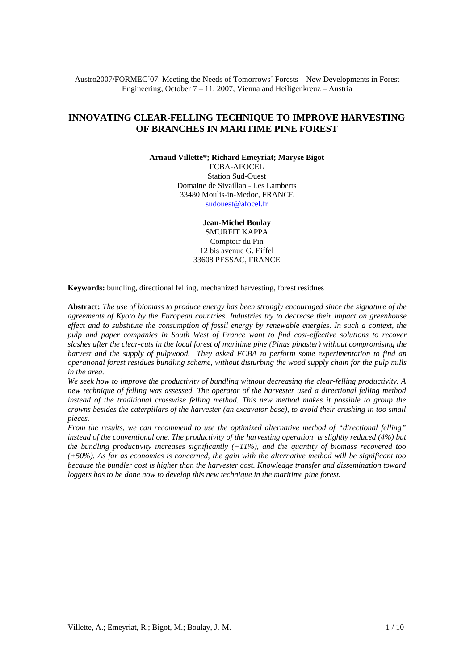Austro2007/FORMEC´07: Meeting the Needs of Tomorrows´ Forests – New Developments in Forest Engineering, October 7 – 11, 2007, Vienna and Heiligenkreuz – Austria

# **INNOVATING CLEAR-FELLING TECHNIQUE TO IMPROVE HARVESTING OF BRANCHES IN MARITIME PINE FOREST**

**Arnaud Villette\*; Richard Emeyriat; Maryse Bigot**

FCBA-AFOCEL Station Sud-Ouest Domaine de Sivaillan - Les Lamberts 33480 Moulis-in-Medoc, FRANCE sudouest@afocel.fr

**Jean-Michel Boulay**

SMURFIT KAPPA Comptoir du Pin 12 bis avenue G. Eiffel 33608 PESSAC, FRANCE

**Keywords:** bundling, directional felling, mechanized harvesting, forest residues

**Abstract:** *The use of biomass to produce energy has been strongly encouraged since the signature of the agreements of Kyoto by the European countries. Industries try to decrease their impact on greenhouse effect and to substitute the consumption of fossil energy by renewable energies. In such a context, the pulp and paper companies in South West of France want to find cost-effective solutions to recover slashes after the clear-cuts in the local forest of maritime pine (Pinus pinaster) without compromising the harvest and the supply of pulpwood. They asked FCBA to perform some experimentation to find an operational forest residues bundling scheme, without disturbing the wood supply chain for the pulp mills in the area.* 

*We seek how to improve the productivity of bundling without decreasing the clear-felling productivity. A new technique of felling was assessed. The operator of the harvester used a directional felling method*  instead of the traditional crosswise felling method. This new method makes it possible to group the *crowns besides the caterpillars of the harvester (an excavator base), to avoid their crushing in too small pieces.* 

*From the results, we can recommend to use the optimized alternative method of "directional felling" instead of the conventional one. The productivity of the harvesting operation is slightly reduced (4%) but the bundling productivity increases significantly (+11%), and the quantity of biomass recovered too (+50%). As far as economics is concerned, the gain with the alternative method will be significant too because the bundler cost is higher than the harvester cost. Knowledge transfer and dissemination toward*  loggers has to be done now to develop this new technique in the maritime pine forest.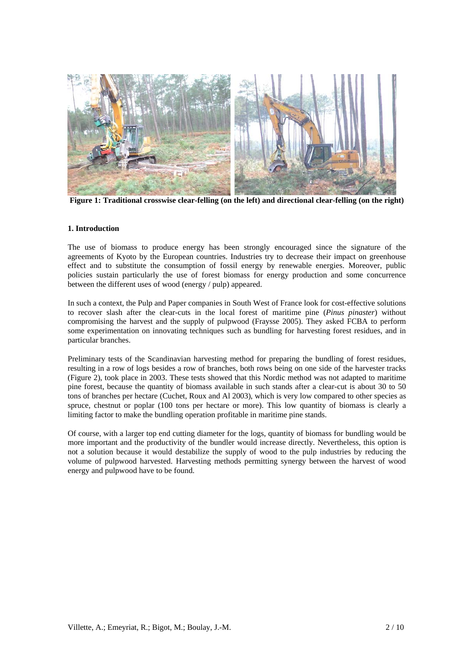

**Figure 1: Traditional crosswise clear-felling (on the left) and directional clear-felling (on the right)** 

### **1. Introduction**

The use of biomass to produce energy has been strongly encouraged since the signature of the agreements of Kyoto by the European countries. Industries try to decrease their impact on greenhouse effect and to substitute the consumption of fossil energy by renewable energies. Moreover, public policies sustain particularly the use of forest biomass for energy production and some concurrence between the different uses of wood (energy / pulp) appeared.

In such a context, the Pulp and Paper companies in South West of France look for cost-effective solutions to recover slash after the clear-cuts in the local forest of maritime pine (*Pinus pinaster*) without compromising the harvest and the supply of pulpwood (Fraysse 2005). They asked FCBA to perform some experimentation on innovating techniques such as bundling for harvesting forest residues, and in particular branches.

Preliminary tests of the Scandinavian harvesting method for preparing the bundling of forest residues, resulting in a row of logs besides a row of branches, both rows being on one side of the harvester tracks (Figure 2), took place in 2003. These tests showed that this Nordic method was not adapted to maritime pine forest, because the quantity of biomass available in such stands after a clear-cut is about 30 to 50 tons of branches per hectare (Cuchet, Roux and Al 2003), which is very low compared to other species as spruce, chestnut or poplar (100 tons per hectare or more). This low quantity of biomass is clearly a limiting factor to make the bundling operation profitable in maritime pine stands.

Of course, with a larger top end cutting diameter for the logs, quantity of biomass for bundling would be more important and the productivity of the bundler would increase directly. Nevertheless, this option is not a solution because it would destabilize the supply of wood to the pulp industries by reducing the volume of pulpwood harvested. Harvesting methods permitting synergy between the harvest of wood energy and pulpwood have to be found.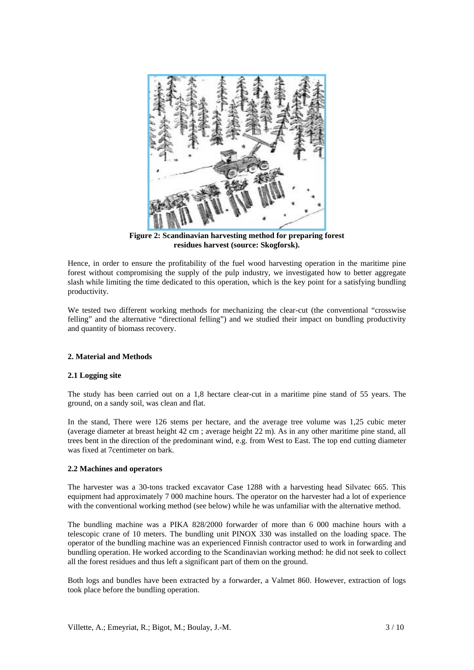

**Figure 2: Scandinavian harvesting method for preparing forest residues harvest (source: Skogforsk).** 

Hence, in order to ensure the profitability of the fuel wood harvesting operation in the maritime pine forest without compromising the supply of the pulp industry, we investigated how to better aggregate slash while limiting the time dedicated to this operation, which is the key point for a satisfying bundling productivity.

We tested two different working methods for mechanizing the clear-cut (the conventional "crosswise felling" and the alternative "directional felling") and we studied their impact on bundling productivity and quantity of biomass recovery.

## **2. Material and Methods**

## **2.1 Logging site**

The study has been carried out on a 1,8 hectare clear-cut in a maritime pine stand of 55 years. The ground, on a sandy soil, was clean and flat.

In the stand, There were 126 stems per hectare, and the average tree volume was 1,25 cubic meter (average diameter at breast height 42 cm ; average height 22 m). As in any other maritime pine stand, all trees bent in the direction of the predominant wind, e.g. from West to East. The top end cutting diameter was fixed at 7centimeter on bark.

#### **2.2 Machines and operators**

The harvester was a 30-tons tracked excavator Case 1288 with a harvesting head Silvatec 665. This equipment had approximately 7 000 machine hours. The operator on the harvester had a lot of experience with the conventional working method (see below) while he was unfamiliar with the alternative method.

The bundling machine was a PIKA 828/2000 forwarder of more than 6 000 machine hours with a telescopic crane of 10 meters. The bundling unit PINOX 330 was installed on the loading space. The operator of the bundling machine was an experienced Finnish contractor used to work in forwarding and bundling operation. He worked according to the Scandinavian working method: he did not seek to collect all the forest residues and thus left a significant part of them on the ground.

Both logs and bundles have been extracted by a forwarder, a Valmet 860. However, extraction of logs took place before the bundling operation.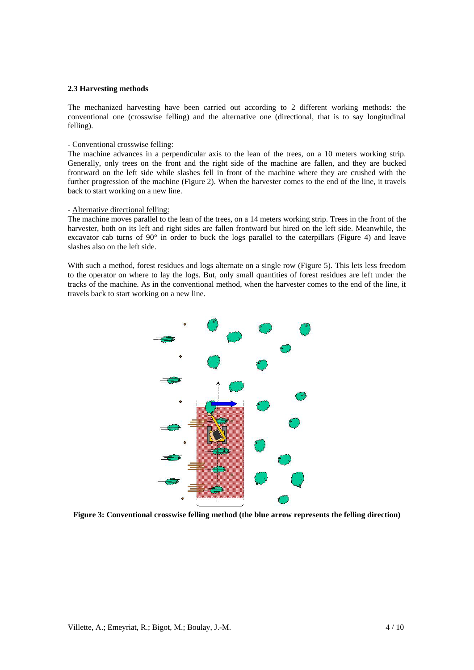#### **2.3 Harvesting methods**

The mechanized harvesting have been carried out according to 2 different working methods: the conventional one (crosswise felling) and the alternative one (directional, that is to say longitudinal felling).

### - Conventional crosswise felling:

The machine advances in a perpendicular axis to the lean of the trees, on a 10 meters working strip. Generally, only trees on the front and the right side of the machine are fallen, and they are bucked frontward on the left side while slashes fell in front of the machine where they are crushed with the further progression of the machine (Figure 2). When the harvester comes to the end of the line, it travels back to start working on a new line.

### - Alternative directional felling:

The machine moves parallel to the lean of the trees, on a 14 meters working strip. Trees in the front of the harvester, both on its left and right sides are fallen frontward but hired on the left side. Meanwhile, the excavator cab turns of 90° in order to buck the logs parallel to the caterpillars (Figure 4) and leave slashes also on the left side.

With such a method, forest residues and logs alternate on a single row (Figure 5). This lets less freedom to the operator on where to lay the logs. But, only small quantities of forest residues are left under the tracks of the machine. As in the conventional method, when the harvester comes to the end of the line, it travels back to start working on a new line.



**Figure 3: Conventional crosswise felling method (the blue arrow represents the felling direction)**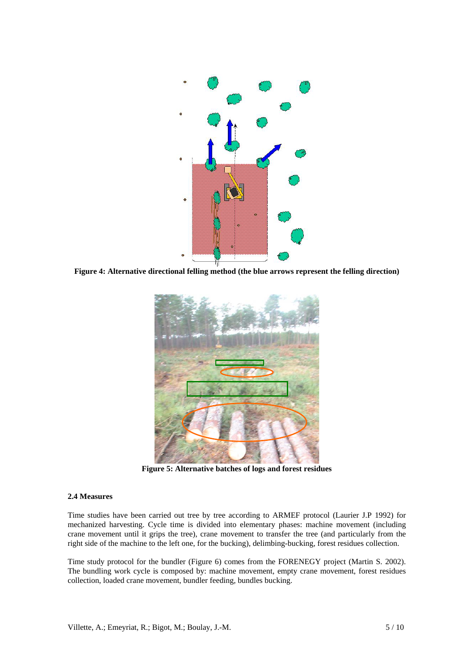

**Figure 4: Alternative directional felling method (the blue arrows represent the felling direction)** 



**Figure 5: Alternative batches of logs and forest residues** 

## **2.4 Measures**

Time studies have been carried out tree by tree according to ARMEF protocol (Laurier J.P 1992) for mechanized harvesting. Cycle time is divided into elementary phases: machine movement (including crane movement until it grips the tree), crane movement to transfer the tree (and particularly from the right side of the machine to the left one, for the bucking), delimbing-bucking, forest residues collection.

Time study protocol for the bundler (Figure 6) comes from the FORENEGY project (Martin S. 2002). The bundling work cycle is composed by: machine movement, empty crane movement, forest residues collection, loaded crane movement, bundler feeding, bundles bucking.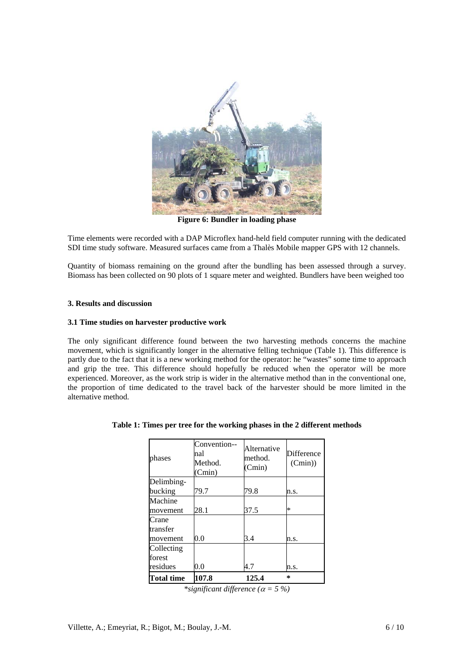

**Figure 6: Bundler in loading phase** 

Time elements were recorded with a DAP Microflex hand-held field computer running with the dedicated SDI time study software. Measured surfaces came from a Thalès Mobile mapper GPS with 12 channels.

Quantity of biomass remaining on the ground after the bundling has been assessed through a survey. Biomass has been collected on 90 plots of 1 square meter and weighted. Bundlers have been weighed too

### **3. Results and discussion**

### **3.1 Time studies on harvester productive work**

The only significant difference found between the two harvesting methods concerns the machine movement, which is significantly longer in the alternative felling technique (Table 1). This difference is partly due to the fact that it is a new working method for the operator: he "wastes" some time to approach and grip the tree. This difference should hopefully be reduced when the operator will be more experienced. Moreover, as the work strip is wider in the alternative method than in the conventional one, the proportion of time dedicated to the travel back of the harvester should be more limited in the alternative method.

| phases            | Convention--<br>nal<br>Method.<br>(Cmin) | Alternative<br>method.<br>(Cmin) | <b>Difference</b><br>(Cmin) |
|-------------------|------------------------------------------|----------------------------------|-----------------------------|
| Delimbing-        |                                          |                                  |                             |
| bucking           | 79.7                                     | 79.8                             | n.s.                        |
| Machine           |                                          |                                  |                             |
| movement          | 28.1                                     | 37.5                             | $\ast$                      |
| Crane             |                                          |                                  |                             |
| transfer          |                                          |                                  |                             |
| movement          | 0.0                                      | 3.4                              | n.s.                        |
| Collecting        |                                          |                                  |                             |
| forest            |                                          |                                  |                             |
| residues          | 0.0                                      | 4.7                              | n.s.                        |
| <b>Total time</b> | 107.8                                    | 125.4                            | ÷.                          |

#### **Table 1: Times per tree for the working phases in the 2 different methods**

*\*significant difference (*α *= 5 %)*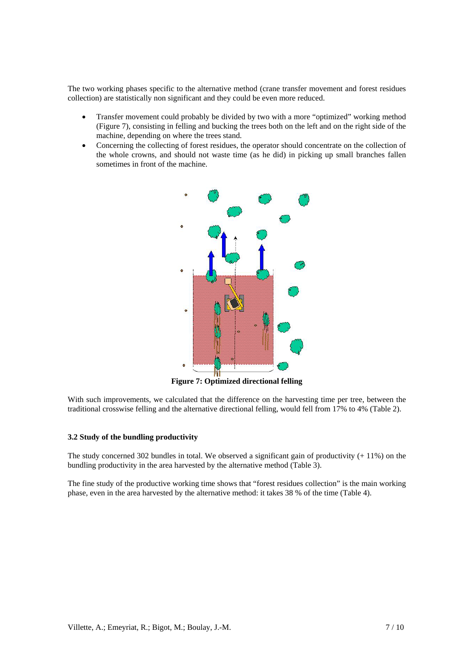The two working phases specific to the alternative method (crane transfer movement and forest residues collection) are statistically non significant and they could be even more reduced.

- Transfer movement could probably be divided by two with a more "optimized" working method (Figure 7), consisting in felling and bucking the trees both on the left and on the right side of the machine, depending on where the trees stand.
- Concerning the collecting of forest residues, the operator should concentrate on the collection of the whole crowns, and should not waste time (as he did) in picking up small branches fallen sometimes in front of the machine.



**Figure 7: Optimized directional felling** 

With such improvements, we calculated that the difference on the harvesting time per tree, between the traditional crosswise felling and the alternative directional felling, would fell from 17% to 4% (Table 2).

## **3.2 Study of the bundling productivity**

The study concerned 302 bundles in total. We observed a significant gain of productivity  $(+ 11\%)$  on the bundling productivity in the area harvested by the alternative method (Table 3).

The fine study of the productive working time shows that "forest residues collection" is the main working phase, even in the area harvested by the alternative method: it takes 38 % of the time (Table 4).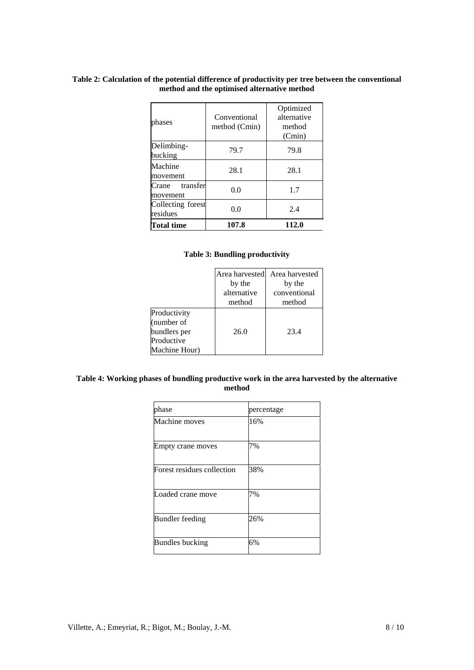# **Table 2: Calculation of the potential difference of productivity per tree between the conventional method and the optimised alternative method**

| <b>Total time</b>             | 107.8                         | 112.0                                        |
|-------------------------------|-------------------------------|----------------------------------------------|
| Collecting forest<br>residues | 0.0                           | 2.4                                          |
| Crane<br>transfer<br>movement | 0.0                           | 1.7                                          |
| Machine<br>movement           | 28.1                          | 28.1                                         |
| Delimbing-<br>bucking         | 79.7                          | 79.8                                         |
| phases                        | Conventional<br>method (Cmin) | Optimized<br>alternative<br>method<br>(Cmin) |

# **Table 3: Bundling productivity**

|                                                                           | Area harvested<br>by the<br>alternative | Area harvested<br>by the<br>conventional |  |
|---------------------------------------------------------------------------|-----------------------------------------|------------------------------------------|--|
|                                                                           | method                                  | method                                   |  |
| Productivity<br>(number of<br>bundlers per<br>Productive<br>Machine Hour) | 26.0                                    | 23.4                                     |  |

# **Table 4: Working phases of bundling productive work in the area harvested by the alternative method**

| phase                      | percentage |
|----------------------------|------------|
| Machine moves              | 16%        |
| Empty crane moves          | 7%         |
| Forest residues collection | 38%        |
| Loaded crane move          | 7%         |
| <b>Bundler</b> feeding     | 26%        |
| <b>Bundles bucking</b>     | 6%         |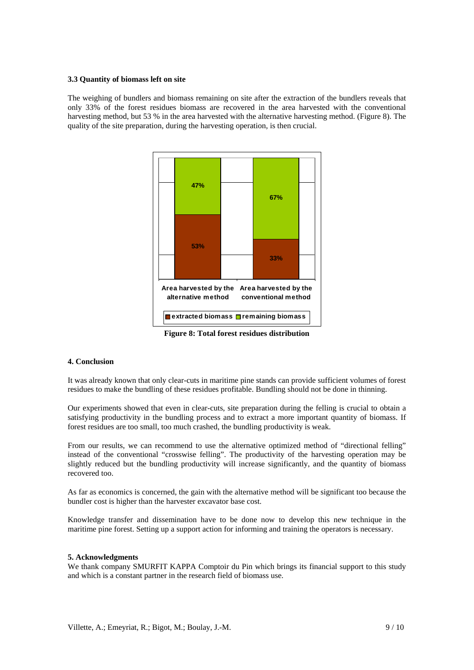### **3.3 Quantity of biomass left on site**

The weighing of bundlers and biomass remaining on site after the extraction of the bundlers reveals that only 33% of the forest residues biomass are recovered in the area harvested with the conventional harvesting method, but 53 % in the area harvested with the alternative harvesting method. (Figure 8). The quality of the site preparation, during the harvesting operation, is then crucial.



**Figure 8: Total forest residues distribution** 

## **4. Conclusion**

It was already known that only clear-cuts in maritime pine stands can provide sufficient volumes of forest residues to make the bundling of these residues profitable. Bundling should not be done in thinning.

Our experiments showed that even in clear-cuts, site preparation during the felling is crucial to obtain a satisfying productivity in the bundling process and to extract a more important quantity of biomass. If forest residues are too small, too much crashed, the bundling productivity is weak.

From our results, we can recommend to use the alternative optimized method of "directional felling" instead of the conventional "crosswise felling". The productivity of the harvesting operation may be slightly reduced but the bundling productivity will increase significantly, and the quantity of biomass recovered too.

As far as economics is concerned, the gain with the alternative method will be significant too because the bundler cost is higher than the harvester excavator base cost.

Knowledge transfer and dissemination have to be done now to develop this new technique in the maritime pine forest. Setting up a support action for informing and training the operators is necessary.

#### **5. Acknowledgments**

We thank company SMURFIT KAPPA Comptoir du Pin which brings its financial support to this study and which is a constant partner in the research field of biomass use.